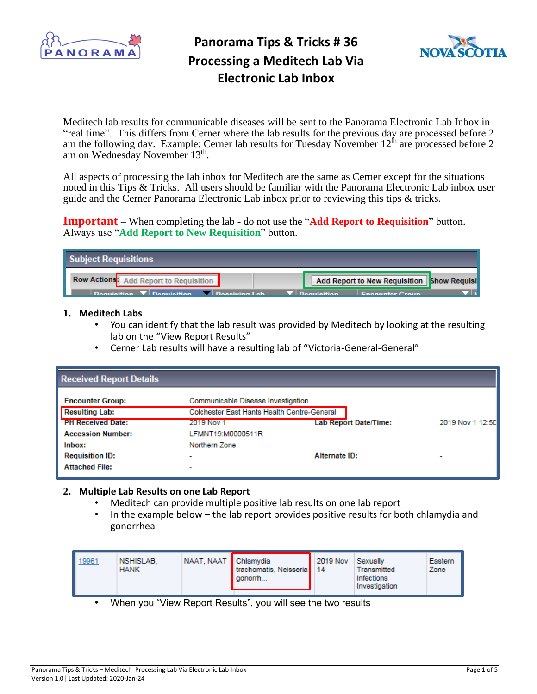



Meditech lab results for communicable diseases will be sent to the Panorama Electronic Lab Inbox in "real time". This differs from Cerner where the lab results for the previous day are processed before 2 am the following day. Example: Cerner lab results for Tuesday November 12<sup>th</sup> are processed before 2 am on Wednesday November 13<sup>th</sup>.

All aspects of processing the lab inbox for Meditech are the same as Cerner except for the situations noted in this Tips & Tricks. All users should be familiar with the Panorama Electronic Lab inbox user guide and the Cerner Panorama Electronic Lab inbox prior to reviewing this tips & tricks.

**Important** – When completing the lab - do not use the "**Add Report to Requisition**" button. Always use "**Add Report to New Requisition**" button.

| Subject Requisitions                                                                           |                                            |
|------------------------------------------------------------------------------------------------|--------------------------------------------|
| Row Actions: Add Report to Requisition                                                         | Add Report to New Requisition Show Requisi |
| $\Box$ Dequisition $\Box$ Dequisition $\Box$ Deposition Leb $\Box$ Dequisition Encounter Cross |                                            |

#### **1. Meditech Labs**

- You can identify that the lab result was provided by Meditech by looking at the resulting lab on the "View Report Results"
- Cerner Lab results will have a resulting lab of "Victoria-General-General"

| <b>Received Report Details</b> |                                             |                              |                  |
|--------------------------------|---------------------------------------------|------------------------------|------------------|
| <b>Encounter Group:</b>        | Communicable Disease Investigation          |                              |                  |
| <b>Resulting Lab:</b>          | Colchester East Hants Health Centre-General |                              |                  |
| <b>PH Received Date:</b>       | 2019 Nov 1                                  | <b>Lab Report Date/Time:</b> | 2019 Nov 1 12:50 |
| <b>Accession Number:</b>       | LFMNT19:M0000511R                           |                              |                  |
| Inbox:                         | Northern Zone                               |                              |                  |
| <b>Requisition ID:</b>         | ٠                                           | Alternate ID:                |                  |
| <b>Attached File:</b>          | $\overline{\phantom{a}}$                    |                              |                  |

#### **2. Multiple Lab Results on one Lab Report**

- Meditech can provide multiple positive lab results on one lab report
- In the example below the lab report provides positive results for both chlamydia and gonorrhea

| 19961 | NSHISLAB.<br><b>HANK</b> | NAAT, NAAT   Chlamydia | trachomatis, Neisseria<br>  gonorrh | 2019 Nov<br>14 | Sexually<br>Transmitted<br>Infections<br>Investigation | Eastern<br>Zone |
|-------|--------------------------|------------------------|-------------------------------------|----------------|--------------------------------------------------------|-----------------|
|-------|--------------------------|------------------------|-------------------------------------|----------------|--------------------------------------------------------|-----------------|

• When you "View Report Results", you will see the two results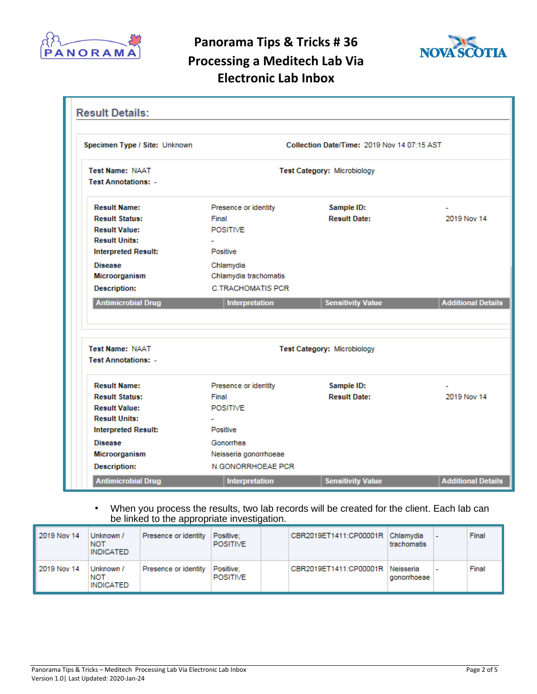



| Specimen Type / Site: Unknown                        | Collection Date/Time: 2019 Nov 14 07:15 AST |                             |                           |  |
|------------------------------------------------------|---------------------------------------------|-----------------------------|---------------------------|--|
| <b>Test Name: NAAT</b><br><b>Test Annotations: -</b> | Test Category: Microbiology                 |                             |                           |  |
| <b>Result Name:</b>                                  | Presence or identity                        | Sample ID:                  |                           |  |
| <b>Result Status:</b>                                | Final                                       | <b>Result Date:</b>         | 2019 Nov 14               |  |
| <b>Result Value:</b>                                 | <b>POSITIVE</b>                             |                             |                           |  |
| <b>Result Units:</b>                                 |                                             |                             |                           |  |
| <b>Interpreted Result:</b>                           | Positive                                    |                             |                           |  |
| <b>Disease</b>                                       | Chlamydia                                   |                             |                           |  |
| Microorganism                                        | Chlamydia trachomatis                       |                             |                           |  |
| <b>Description:</b>                                  | C TRACHOMATIS PCR.                          |                             |                           |  |
| <b>Antimicrobial Drug</b>                            | Interpretation                              | <b>Sensitivity Value</b>    | <b>Additional Details</b> |  |
|                                                      |                                             |                             |                           |  |
| <b>Test Name: NAAT</b>                               |                                             |                             |                           |  |
| <b>Test Annotations: -</b>                           |                                             | Test Category: Microbiology |                           |  |
| <b>Result Name:</b>                                  | Presence or identity                        | Sample ID:                  |                           |  |
| <b>Result Status:</b>                                | Final                                       | <b>Result Date:</b>         | 2019 Nov 14               |  |
| <b>Result Value:</b>                                 | <b>POSITIVE</b>                             |                             |                           |  |
| <b>Result Units:</b>                                 |                                             |                             |                           |  |
| <b>Interpreted Result:</b>                           | Positive                                    |                             |                           |  |
| <b>Disease</b>                                       | Gonomhea                                    |                             |                           |  |
| Microorganism                                        | Neisseria gonorrhoeae                       |                             |                           |  |
| <b>Description:</b>                                  | <b>N.GONORRHOEAE PCR</b>                    |                             |                           |  |

#### • When you process the results, two lab records will be created for the client. Each lab can be linked to the appropriate investigation.

| 2019 Nov 14 | Unknown /<br><b>NOT</b><br><b>INDICATED</b> | Presence or identity | Positive:<br><b>POSITIVE</b> | CBR2019ET1411:CP00001R Chlamydia | trachomatis | Final |
|-------------|---------------------------------------------|----------------------|------------------------------|----------------------------------|-------------|-------|
| 2019 Nov 14 | Unknown /<br><b>NOT</b><br><b>INDICATED</b> | Presence or identity | Positive:<br>POSITIVE        | CBR2019ET1411:CP00001R Neisseria | gonorrhoeae | Final |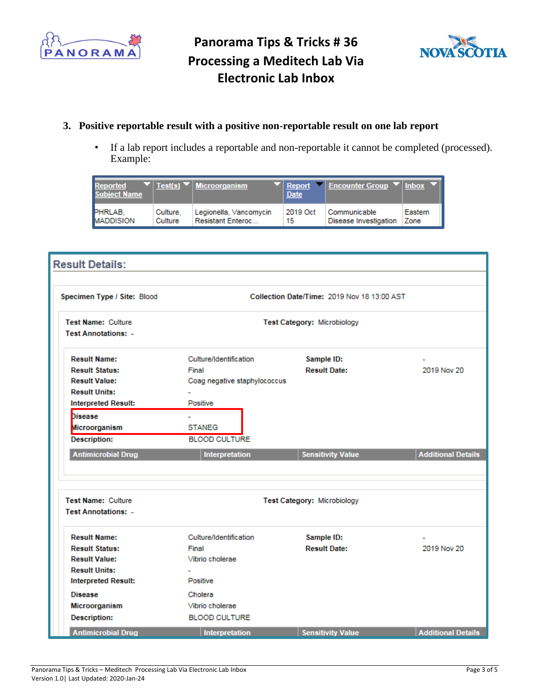



### **3. Positive reportable result with a positive non-reportable result on one lab report**

• If a lab report includes a reportable and non-reportable it cannot be completed (processed). Example:

| Reported<br><b>Subject Name</b> |          | $\blacktriangledown$   Test(s) $\blacktriangledown$   Microorganism | <b>Date</b> | $\blacktriangledown$ Report $\blacktriangledown$ Encounter Group $\blacktriangledown$ Inbox |         |
|---------------------------------|----------|---------------------------------------------------------------------|-------------|---------------------------------------------------------------------------------------------|---------|
| PHRLAB,                         | Culture. | Legionella, Vancomycin                                              | 2019 Oct    | Communicable                                                                                | Eastern |
| <b>MADDISION</b>                | Culture  | <b>Resistant Enteroc</b>                                            | 15          | Disease Investigation                                                                       | Zone    |

| <b>Result Details:</b>      |                                             |                             |                           |  |  |  |
|-----------------------------|---------------------------------------------|-----------------------------|---------------------------|--|--|--|
|                             |                                             |                             |                           |  |  |  |
| Specimen Type / Site: Blood | Collection Date/Time: 2019 Nov 18 13:00 AST |                             |                           |  |  |  |
| Test Name: Culture          | <b>Test Category: Microbiology</b>          |                             |                           |  |  |  |
| <b>Test Annotations: -</b>  |                                             |                             |                           |  |  |  |
| <b>Result Name:</b>         | Culture/Identification                      | Sample ID:                  |                           |  |  |  |
| <b>Result Status:</b>       | Final                                       | <b>Result Date:</b>         | 2019 Nov 20               |  |  |  |
| <b>Result Value:</b>        | Coag negative staphylococcus                |                             |                           |  |  |  |
| <b>Result Units:</b>        |                                             |                             |                           |  |  |  |
| <b>Interpreted Result:</b>  | Positive                                    |                             |                           |  |  |  |
| <b>Disease</b>              | $\overline{\phantom{a}}$                    |                             |                           |  |  |  |
| Microorganism               | <b>STANEG</b>                               |                             |                           |  |  |  |
| <b>Description:</b>         | <b>BLOOD CULTURE</b>                        |                             |                           |  |  |  |
| <b>Antimicrobial Drug</b>   | Interpretation                              | <b>Sensitivity Value</b>    | <b>Additional Details</b> |  |  |  |
|                             |                                             |                             |                           |  |  |  |
| <b>Test Name: Culture</b>   |                                             | Test Category: Microbiology |                           |  |  |  |
| <b>Test Annotations: -</b>  |                                             |                             |                           |  |  |  |
| <b>Result Name:</b>         | Culture/Identification                      | Sample ID:                  |                           |  |  |  |
| <b>Result Status:</b>       | Final                                       | <b>Result Date:</b>         | 2019 Nov 20               |  |  |  |
| <b>Result Value:</b>        | Vibrio cholerae                             |                             |                           |  |  |  |
| <b>Result Units:</b>        |                                             |                             |                           |  |  |  |
| <b>Interpreted Result:</b>  | Positive                                    |                             |                           |  |  |  |
| <b>Disease</b>              | Cholera                                     |                             |                           |  |  |  |
| Microorganism               | Vibrio cholerae                             |                             |                           |  |  |  |
| <b>Description:</b>         | <b>BLOOD CULTURE</b>                        |                             |                           |  |  |  |
| <b>Antimicrobial Drug</b>   | Interpretation                              | <b>Sensitivity Value</b>    | <b>Additional Details</b> |  |  |  |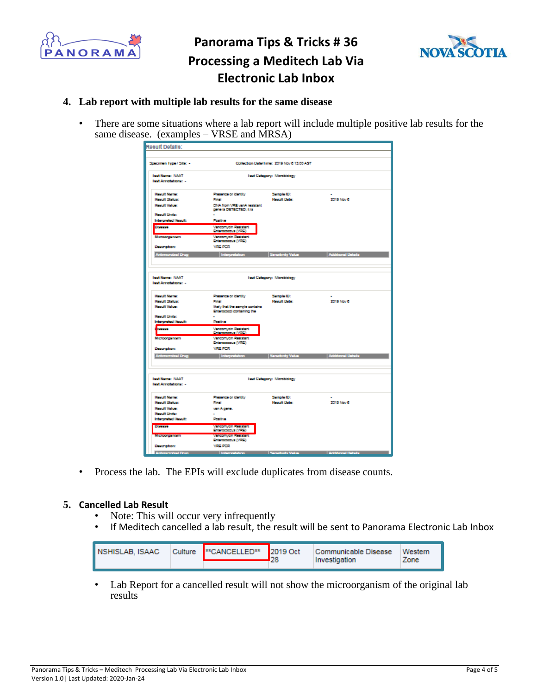



### **4. Lab report with multiple lab results for the same disease**

• There are some situations where a lab report will include multiple positive lab results for the same disease. (examples – VRSE and MRSA)

| Result Details:            |                                                  |                             |                            |  |  |  |  |
|----------------------------|--------------------------------------------------|-----------------------------|----------------------------|--|--|--|--|
|                            |                                                  |                             |                            |  |  |  |  |
|                            |                                                  |                             |                            |  |  |  |  |
| Specimen Type / Site: -    | Collection Detail Imm: 2019 Nov 6 13:00 AST      |                             |                            |  |  |  |  |
| <b>Text Name: NAAT</b>     | Text Category: Microbiology                      |                             |                            |  |  |  |  |
| <b>Text Annotations: -</b> |                                                  |                             |                            |  |  |  |  |
|                            |                                                  |                             |                            |  |  |  |  |
| <b>Hospit Name:</b>        | Photonco or identify                             | Serrole ID:                 |                            |  |  |  |  |
| <b>Harolt Status:</b>      | <b>Final</b>                                     | <b>Report Date:</b>         | 2019 Nov 6                 |  |  |  |  |
| <b>Handt Value:</b>        | DNA from VRE van A resistant                     |                             |                            |  |  |  |  |
|                            | gene la DETECTED; it is                          |                             |                            |  |  |  |  |
| <b>Hospit Unite:</b>       |                                                  |                             |                            |  |  |  |  |
| Interpreted Result:        | Positive                                         |                             |                            |  |  |  |  |
| Domese                     | Vencomycin Resistant                             |                             |                            |  |  |  |  |
|                            | Enterococous (VFE)                               |                             |                            |  |  |  |  |
| Microorganam               | <b>Vinconycin Resistant</b>                      |                             |                            |  |  |  |  |
|                            | Enforcecedus (VRE)                               |                             |                            |  |  |  |  |
| <b>Description:</b>        | <b><i>VREPCR</i></b>                             |                             |                            |  |  |  |  |
| <b>Antimercial Urug</b>    | Interpretation                                   | Senatority Value            | Additional Details         |  |  |  |  |
|                            |                                                  |                             |                            |  |  |  |  |
|                            |                                                  |                             |                            |  |  |  |  |
|                            |                                                  |                             |                            |  |  |  |  |
| <b>Text Name: NAAT</b>     |                                                  | Text Category: Microbiology |                            |  |  |  |  |
| land Annotationary -       |                                                  |                             |                            |  |  |  |  |
|                            |                                                  |                             |                            |  |  |  |  |
| <b>Hospit Name:</b>        | Photomas or identity                             | Serrelo ID:                 |                            |  |  |  |  |
| <b>Honoft Status:</b>      | <b>Final</b>                                     | <b>Regard: Deter:</b>       | 2019 Nov 6                 |  |  |  |  |
| <b>Hought Volume</b>       | likely that the sample contains                  |                             |                            |  |  |  |  |
|                            | Enterococci containing the                       |                             |                            |  |  |  |  |
| <b>Hought Under:</b>       |                                                  |                             |                            |  |  |  |  |
| Interpreted Result:        | Positive                                         |                             |                            |  |  |  |  |
| <b>Concert</b>             | Vanconycin Resistant<br><b>Enforcement (VCE)</b> |                             |                            |  |  |  |  |
| Microorganagh              | <b>Viencomycin Registant</b>                     |                             |                            |  |  |  |  |
|                            | Enforceceux (VRE)                                |                             |                            |  |  |  |  |
| <b>Description:</b>        | <b><i>VREPCR</i></b>                             |                             |                            |  |  |  |  |
| <b>Antimizadial Drug</b>   | Interpretation                                   | Senatorty Value             | Additional Details         |  |  |  |  |
|                            |                                                  |                             |                            |  |  |  |  |
|                            |                                                  |                             |                            |  |  |  |  |
|                            |                                                  |                             |                            |  |  |  |  |
| <b>Text Name: NAAT</b>     |                                                  | Text Category: Microbiology |                            |  |  |  |  |
| leat Annotations: -        |                                                  |                             |                            |  |  |  |  |
|                            |                                                  |                             |                            |  |  |  |  |
| <b>Hospit Name:</b>        | Photonce or identity                             | Semple ID:                  |                            |  |  |  |  |
| <b>Honuit Status:</b>      | <b>Final</b>                                     | <b>Regult Date:</b>         | 2019 Nov 6                 |  |  |  |  |
| <b>Horuft Value:</b>       | van Agene.                                       |                             |                            |  |  |  |  |
| <b>Horuft Unite:</b>       | ÷                                                |                             |                            |  |  |  |  |
| Interpreted Result:        | Posttive                                         |                             |                            |  |  |  |  |
| Dominio                    | Vancomycin Resistant<br>Enterococous (VRE)       |                             |                            |  |  |  |  |
| <b>Microorganeern</b>      | Wasconscin Bartistani                            |                             |                            |  |  |  |  |
|                            | Enforceceus (VRE)                                |                             |                            |  |  |  |  |
| <b>Description:</b>        | <b>VRE PCR</b>                                   |                             |                            |  |  |  |  |
| <b>Lohonevelvel Prime</b>  | <b>Intermediation</b>                            | <b>Standards William</b>    | <b>Artificianal Debute</b> |  |  |  |  |

• Process the lab. The EPIs will exclude duplicates from disease counts.

### **5. Cancelled Lab Result**

- Note: This will occur very infrequently
- If Meditech cancelled a lab result, the result will be sent to Panorama Electronic Lab Inbox

| II NSHISLAB, ISAAC | Culture  **CANCELLED**  2019 Oct | Communicable Disease<br>Investigation | Western<br>one. |
|--------------------|----------------------------------|---------------------------------------|-----------------|
|                    |                                  |                                       |                 |

• Lab Report for a cancelled result will not show the microorganism of the original lab results